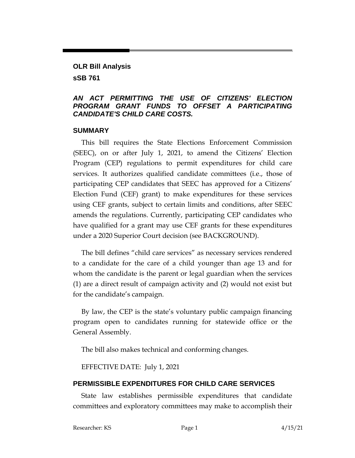## **OLR Bill Analysis sSB 761**

### *AN ACT PERMITTING THE USE OF CITIZENS' ELECTION PROGRAM GRANT FUNDS TO OFFSET A PARTICIPATING CANDIDATE'S CHILD CARE COSTS.*

#### **SUMMARY**

This bill requires the State Elections Enforcement Commission (SEEC), on or after July 1, 2021, to amend the Citizens' Election Program (CEP) regulations to permit expenditures for child care services. It authorizes qualified candidate committees (i.e., those of participating CEP candidates that SEEC has approved for a Citizens' Election Fund (CEF) grant) to make expenditures for these services using CEF grants, subject to certain limits and conditions, after SEEC amends the regulations. Currently, participating CEP candidates who have qualified for a grant may use CEF grants for these expenditures under a 2020 Superior Court decision (see BACKGROUND).

The bill defines "child care services" as necessary services rendered to a candidate for the care of a child younger than age 13 and for whom the candidate is the parent or legal guardian when the services (1) are a direct result of campaign activity and (2) would not exist but for the candidate's campaign.

By law, the CEP is the state's voluntary public campaign financing program open to candidates running for statewide office or the General Assembly.

The bill also makes technical and conforming changes.

EFFECTIVE DATE: July 1, 2021

# **PERMISSIBLE EXPENDITURES FOR CHILD CARE SERVICES**

State law establishes permissible expenditures that candidate committees and exploratory committees may make to accomplish their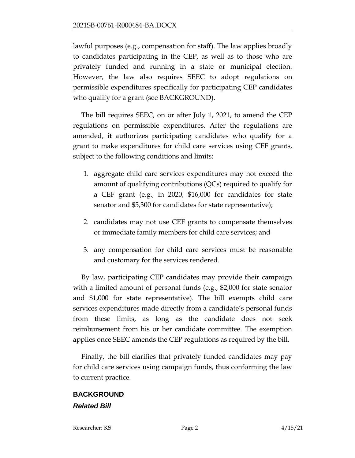lawful purposes (e.g., compensation for staff). The law applies broadly to candidates participating in the CEP, as well as to those who are privately funded and running in a state or municipal election. However, the law also requires SEEC to adopt regulations on permissible expenditures specifically for participating CEP candidates who qualify for a grant (see BACKGROUND).

The bill requires SEEC, on or after July 1, 2021, to amend the CEP regulations on permissible expenditures. After the regulations are amended, it authorizes participating candidates who qualify for a grant to make expenditures for child care services using CEF grants, subject to the following conditions and limits:

- 1. aggregate child care services expenditures may not exceed the amount of qualifying contributions (QCs) required to qualify for a CEF grant (e.g., in 2020, \$16,000 for candidates for state senator and \$5,300 for candidates for state representative);
- 2. candidates may not use CEF grants to compensate themselves or immediate family members for child care services; and
- 3. any compensation for child care services must be reasonable and customary for the services rendered.

By law, participating CEP candidates may provide their campaign with a limited amount of personal funds (e.g., \$2,000 for state senator and \$1,000 for state representative). The bill exempts child care services expenditures made directly from a candidate's personal funds from these limits, as long as the candidate does not seek reimbursement from his or her candidate committee. The exemption applies once SEEC amends the CEP regulations as required by the bill.

Finally, the bill clarifies that privately funded candidates may pay for child care services using campaign funds, thus conforming the law to current practice.

# **BACKGROUND** *Related Bill*